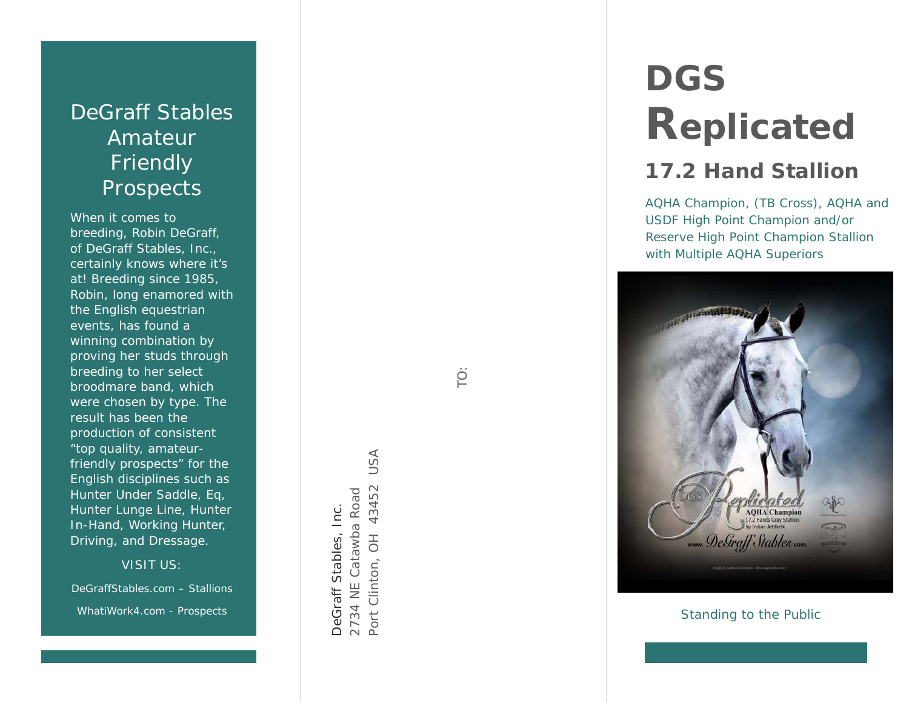# DeGraff Stables Amateur **Friendly** Prospects

When it comes to breeding, Robin DeGraff, of DeGraff Stables, Inc., certainly knows where it's at! Breeding since 1985, Robin, long enamored with the English equestrian events, has found a winning combination by proving her studs through breeding to her select broodmare band, which were chosen by type. The result has been the production of consistent "top quality, amateurfriendly prospects" for the English disciplines such as Hunter Under Saddle, Eq, Hunter Lunge Line, Hunter In-Hand, Working Hunter, Driving, and Dressage.

VISIT US:

DeGraffStables.com – Stallions WhatiWork4.com - Prospects

Port Clinton, OH 43452 USA **USA** 2734 NE Catawba Road 43452 2734 NE Catawba Road DeGraff Stables, Inc. DeGraff Stables, Inc.  $\overline{\overline{C}}$ Port Clinton, TO:

# **DGSReplicated**

# **17.2 Hand Stallion**

AQHA Champion, (*TB Cross*), AQHA and USDF High Point Champion and/or Reserve High Point Champion Stallion with Multiple AQHA Superiors



 *Standing to the Public*